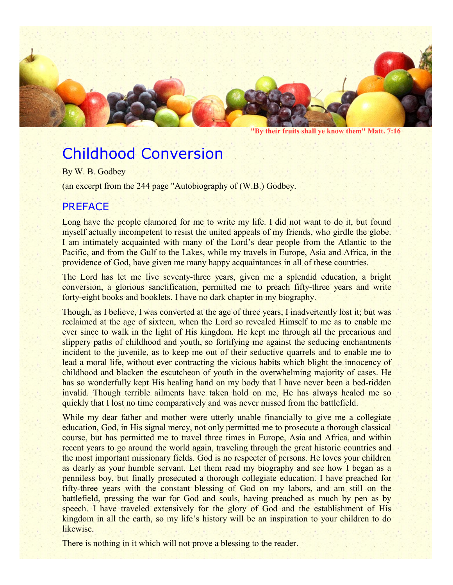

**"By their fruits shall ye know them" Matt. 7:16**

# Childhood Conversion

By W. B. Godbey

(an excerpt from the 244 page "Autobiography of (W.B.) Godbey.

## PREFACE

Long have the people clamored for me to write my life. I did not want to do it, but found myself actually incompetent to resist the united appeals of my friends, who girdle the globe. I am intimately acquainted with many of the Lord's dear people from the Atlantic to the Pacific, and from the Gulf to the Lakes, while my travels in Europe, Asia and Africa, in the providence of God, have given me many happy acquaintances in all of these countries.

The Lord has let me live seventy-three years, given me a splendid education, a bright conversion, a glorious sanctification, permitted me to preach fifty-three years and write forty-eight books and booklets. I have no dark chapter in my biography.

Though, as I believe, I was converted at the age of three years, I inadvertently lost it; but was reclaimed at the age of sixteen, when the Lord so revealed Himself to me as to enable me ever since to walk in the light of His kingdom. He kept me through all the precarious and slippery paths of childhood and youth, so fortifying me against the seducing enchantments incident to the juvenile, as to keep me out of their seductive quarrels and to enable me to lead a moral life, without ever contracting the vicious habits which blight the innocency of childhood and blacken the escutcheon of youth in the overwhelming majority of cases. He has so wonderfully kept His healing hand on my body that I have never been a bed-ridden invalid. Though terrible ailments have taken hold on me, He has always healed me so quickly that I lost no time comparatively and was never missed from the battlefield.

While my dear father and mother were utterly unable financially to give me a collegiate education, God, in His signal mercy, not only permitted me to prosecute a thorough classical course, but has permitted me to travel three times in Europe, Asia and Africa, and within recent years to go around the world again, traveling through the great historic countries and the most important missionary fields. God is no respecter of persons. He loves your children as dearly as your humble servant. Let them read my biography and see how I began as a penniless boy, but finally prosecuted a thorough collegiate education. I have preached for fifty-three years with the constant blessing of God on my labors, and am still on the battlefield, pressing the war for God and souls, having preached as much by pen as by speech. I have traveled extensively for the glory of God and the establishment of His kingdom in all the earth, so my life's history will be an inspiration to your children to do likewise.

There is nothing in it which will not prove a blessing to the reader.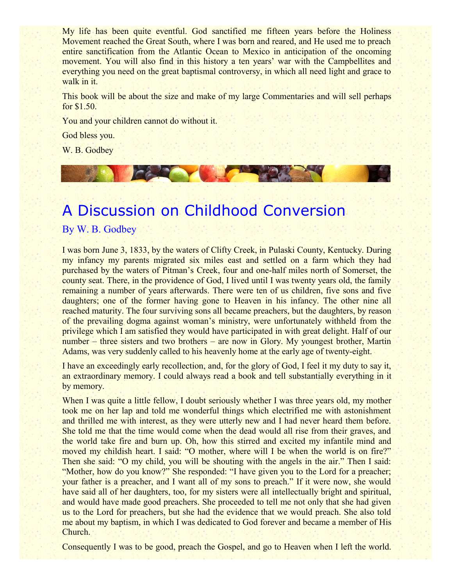My life has been quite eventful. God sanctified me fifteen years before the Holiness Movement reached the Great South, where I was born and reared, and He used me to preach entire sanctification from the Atlantic Ocean to Mexico in anticipation of the oncoming movement. You will also find in this history a ten years' war with the Campbellites and everything you need on the great baptismal controversy, in which all need light and grace to walk in it.

This book will be about the size and make of my large Commentaries and will sell perhaps for \$1.50.

You and your children cannot do without it.

God bless you.

W. B. Godbey

## A Discussion on Childhood Conversion

By W. B. Godbey

I was born June 3, 1833, by the waters of Clifty Creek, in Pulaski County, Kentucky. During my infancy my parents migrated six miles east and settled on a farm which they had purchased by the waters of Pitman's Creek, four and one-half miles north of Somerset, the county seat. There, in the providence of God, I lived until I was twenty years old, the family remaining a number of years afterwards. There were ten of us children, five sons and five daughters; one of the former having gone to Heaven in his infancy. The other nine all reached maturity. The four surviving sons all became preachers, but the daughters, by reason of the prevailing dogma against woman's ministry, were unfortunately withheld from the privilege which I am satisfied they would have participated in with great delight. Half of our number – three sisters and two brothers – are now in Glory. My youngest brother, Martin Adams, was very suddenly called to his heavenly home at the early age of twenty-eight.

I have an exceedingly early recollection, and, for the glory of God, I feel it my duty to say it, an extraordinary memory. I could always read a book and tell substantially everything in it by memory.

When I was quite a little fellow, I doubt seriously whether I was three years old, my mother took me on her lap and told me wonderful things which electrified me with astonishment and thrilled me with interest, as they were utterly new and I had never heard them before. She told me that the time would come when the dead would all rise from their graves, and the world take fire and burn up. Oh, how this stirred and excited my infantile mind and moved my childish heart. I said: "O mother, where will I be when the world is on fire?" Then she said: "O my child, you will be shouting with the angels in the air." Then I said: "Mother, how do you know?" She responded: "I have given you to the Lord for a preacher; your father is a preacher, and I want all of my sons to preach." If it were now, she would have said all of her daughters, too, for my sisters were all intellectually bright and spiritual, and would have made good preachers. She proceeded to tell me not only that she had given us to the Lord for preachers, but she had the evidence that we would preach. She also told me about my baptism, in which I was dedicated to God forever and became a member of His Church.

Consequently I was to be good, preach the Gospel, and go to Heaven when I left the world.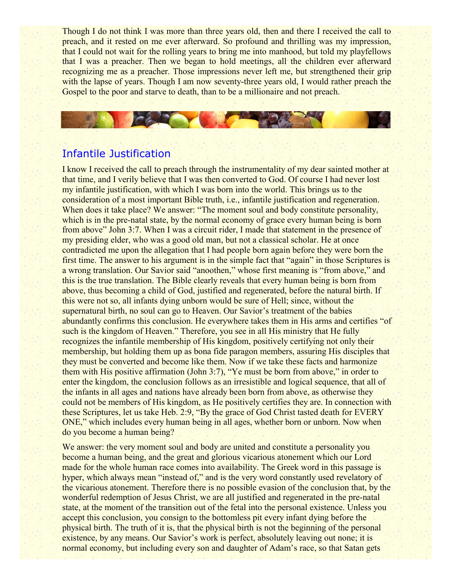Though I do not think I was more than three years old, then and there I received the call to preach, and it rested on me ever afterward. So profound and thrilling was my impression, that I could not wait for the rolling years to bring me into manhood, but told my playfellows that I was a preacher. Then we began to hold meetings, all the children ever afterward recognizing me as a preacher. Those impressions never left me, but strengthened their grip with the lapse of years. Though I am now seventy-three years old, I would rather preach the Gospel to the poor and starve to death, than to be a millionaire and not preach.

## Infantile Justification

CAROLY

I know I received the call to preach through the instrumentality of my dear sainted mother at that time, and I verily believe that I was then converted to God. Of course I had never lost my infantile justification, with which I was born into the world. This brings us to the consideration of a most important Bible truth, i.e., infantile justification and regeneration. When does it take place? We answer: "The moment soul and body constitute personality, which is in the pre-natal state, by the normal economy of grace every human being is born from above" John 3:7. When I was a circuit rider, I made that statement in the presence of my presiding elder, who was a good old man, but not a classical scholar. He at once contradicted me upon the allegation that I had people born again before they were born the first time. The answer to his argument is in the simple fact that "again" in those Scriptures is a wrong translation. Our Savior said "anoothen," whose first meaning is "from above," and this is the true translation. The Bible clearly reveals that every human being is born from above, thus becoming a child of God, justified and regenerated, before the natural birth. If this were not so, all infants dying unborn would be sure of Hell; since, without the supernatural birth, no soul can go to Heaven. Our Savior's treatment of the babies abundantly confirms this conclusion. He everywhere takes them in His arms and certifies "of such is the kingdom of Heaven." Therefore, you see in all His ministry that He fully recognizes the infantile membership of His kingdom, positively certifying not only their membership, but holding them up as bona fide paragon members, assuring His disciples that they must be converted and become like them. Now if we take these facts and harmonize them with His positive affirmation (John 3:7), "Ye must be born from above," in order to enter the kingdom, the conclusion follows as an irresistible and logical sequence, that all of the infants in all ages and nations have already been born from above, as otherwise they could not be members of His kingdom, as He positively certifies they are. In connection with these Scriptures, let us take Heb. 2:9, "By the grace of God Christ tasted death for EVERY ONE," which includes every human being in all ages, whether born or unborn. Now when do you become a human being?

We answer: the very moment soul and body are united and constitute a personality you become a human being, and the great and glorious vicarious atonement which our Lord made for the whole human race comes into availability. The Greek word in this passage is hyper, which always mean "instead of," and is the very word constantly used revelatory of the vicarious atonement. Therefore there is no possible evasion of the conclusion that, by the wonderful redemption of Jesus Christ, we are all justified and regenerated in the pre-natal state, at the moment of the transition out of the fetal into the personal existence. Unless you accept this conclusion, you consign to the bottomless pit every infant dying before the physical birth. The truth of it is, that the physical birth is not the beginning of the personal existence, by any means. Our Savior's work is perfect, absolutely leaving out none; it is normal economy, but including every son and daughter of Adam's race, so that Satan gets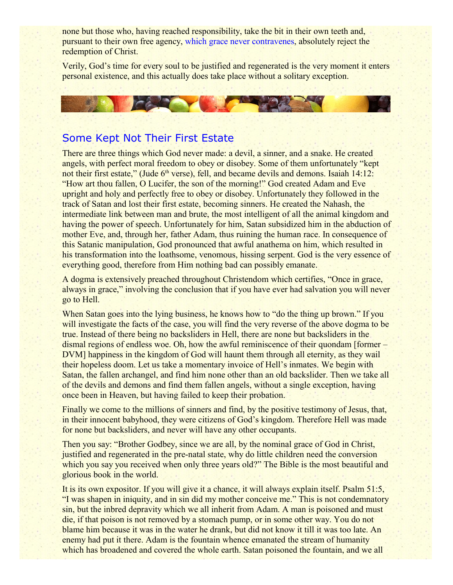none but those who, having reached responsibility, take the bit in their own teeth and, pursuant to their own free agency, which grace never contravenes, absolutely reject the redemption of Christ.

Verily, God's time for every soul to be justified and regenerated is the very moment it enters personal existence, and this actually does take place without a solitary exception.



### Some Kept Not Their First Estate

There are three things which God never made: a devil, a sinner, and a snake. He created angels, with perfect moral freedom to obey or disobey. Some of them unfortunately "kept not their first estate," (Jude  $6<sup>th</sup>$  verse), fell, and became devils and demons. Isaiah  $14:12:$ "How art thou fallen, O Lucifer, the son of the morning!" God created Adam and Eve upright and holy and perfectly free to obey or disobey. Unfortunately they followed in the track of Satan and lost their first estate, becoming sinners. He created the Nahash, the intermediate link between man and brute, the most intelligent of all the animal kingdom and having the power of speech. Unfortunately for him, Satan subsidized him in the abduction of mother Eve, and, through her, father Adam, thus ruining the human race. In consequence of this Satanic manipulation, God pronounced that awful anathema on him, which resulted in his transformation into the loathsome, venomous, hissing serpent. God is the very essence of everything good, therefore from Him nothing bad can possibly emanate.

A dogma is extensively preached throughout Christendom which certifies, "Once in grace, always in grace," involving the conclusion that if you have ever had salvation you will never go to Hell.

When Satan goes into the lying business, he knows how to "do the thing up brown." If you will investigate the facts of the case, you will find the very reverse of the above dogma to be true. Instead of there being no backsliders in Hell, there are none but backsliders in the dismal regions of endless woe. Oh, how the awful reminiscence of their quondam [former – DVM] happiness in the kingdom of God will haunt them through all eternity, as they wail their hopeless doom. Let us take a momentary invoice of Hell's inmates. We begin with Satan, the fallen archangel, and find him none other than an old backslider. Then we take all of the devils and demons and find them fallen angels, without a single exception, having once been in Heaven, but having failed to keep their probation.

Finally we come to the millions of sinners and find, by the positive testimony of Jesus, that, in their innocent babyhood, they were citizens of God's kingdom. Therefore Hell was made for none but backsliders, and never will have any other occupants.

Then you say: "Brother Godbey, since we are all, by the nominal grace of God in Christ, justified and regenerated in the pre-natal state, why do little children need the conversion which you say you received when only three years old?" The Bible is the most beautiful and glorious book in the world.

It is its own expositor. If you will give it a chance, it will always explain itself. Psalm 51:5, "I was shapen in iniquity, and in sin did my mother conceive me." This is not condemnatory sin, but the inbred depravity which we all inherit from Adam. A man is poisoned and must die, if that poison is not removed by a stomach pump, or in some other way. You do not blame him because it was in the water he drank, but did not know it till it was too late. An enemy had put it there. Adam is the fountain whence emanated the stream of humanity which has broadened and covered the whole earth. Satan poisoned the fountain, and we all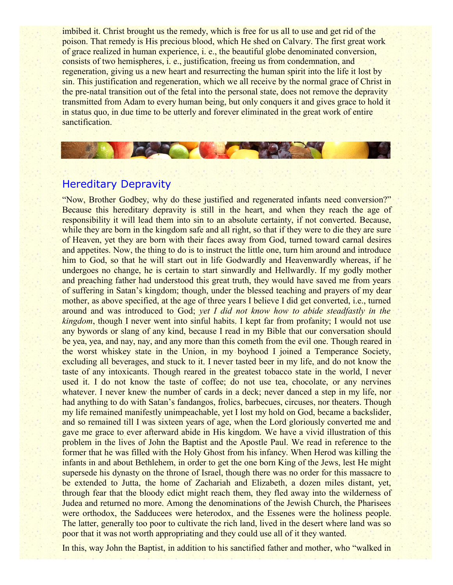imbibed it. Christ brought us the remedy, which is free for us all to use and get rid of the poison. That remedy is His precious blood, which He shed on Calvary. The first great work of grace realized in human experience, i. e., the beautiful globe denominated conversion, consists of two hemispheres, i. e., justification, freeing us from condemnation, and regeneration, giving us a new heart and resurrecting the human spirit into the life it lost by sin. This justification and regeneration, which we all receive by the normal grace of Christ in the pre-natal transition out of the fetal into the personal state, does not remove the depravity transmitted from Adam to every human being, but only conquers it and gives grace to hold it in status quo, in due time to be utterly and forever eliminated in the great work of entire sanctification.

## Hereditary Depravity

**CAR THE** 

"Now, Brother Godbey, why do these justified and regenerated infants need conversion?" Because this hereditary depravity is still in the heart, and when they reach the age of responsibility it will lead them into sin to an absolute certainty, if not converted. Because, while they are born in the kingdom safe and all right, so that if they were to die they are sure of Heaven, yet they are born with their faces away from God, turned toward carnal desires and appetites. Now, the thing to do is to instruct the little one, turn him around and introduce him to God, so that he will start out in life Godwardly and Heavenwardly whereas, if he undergoes no change, he is certain to start sinwardly and Hellwardly. If my godly mother and preaching father had understood this great truth, they would have saved me from years of suffering in Satan's kingdom; though, under the blessed teaching and prayers of my dear mother, as above specified, at the age of three years I believe I did get converted, i.e., turned around and was introduced to God; *yet I did not know how to abide steadfastly in the kingdom*, though I never went into sinful habits. I kept far from profanity; I would not use any bywords or slang of any kind, because I read in my Bible that our conversation should be yea, yea, and nay, nay, and any more than this cometh from the evil one. Though reared in the worst whiskey state in the Union, in my boyhood I joined a Temperance Society, excluding all beverages, and stuck to it. I never tasted beer in my life, and do not know the taste of any intoxicants. Though reared in the greatest tobacco state in the world, I never used it. I do not know the taste of coffee; do not use tea, chocolate, or any nervines whatever. I never knew the number of cards in a deck; never danced a step in my life, nor had anything to do with Satan's fandangos, frolics, barbecues, circuses, nor theaters. Though my life remained manifestly unimpeachable, yet I lost my hold on God, became a backslider, and so remained till I was sixteen years of age, when the Lord gloriously converted me and gave me grace to ever afterward abide in His kingdom. We have a vivid illustration of this problem in the lives of John the Baptist and the Apostle Paul. We read in reference to the former that he was filled with the Holy Ghost from his infancy. When Herod was killing the infants in and about Bethlehem, in order to get the one born King of the Jews, lest He might supersede his dynasty on the throne of Israel, though there was no order for this massacre to be extended to Jutta, the home of Zachariah and Elizabeth, a dozen miles distant, yet, through fear that the bloody edict might reach them, they fled away into the wilderness of Judea and returned no more. Among the denominations of the Jewish Church, the Pharisees were orthodox, the Sadducees were heterodox, and the Essenes were the holiness people. The latter, generally too poor to cultivate the rich land, lived in the desert where land was so poor that it was not worth appropriating and they could use all of it they wanted.

In this, way John the Baptist, in addition to his sanctified father and mother, who "walked in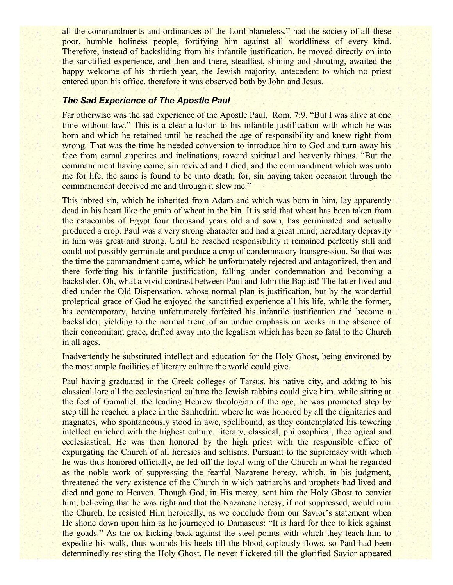all the commandments and ordinances of the Lord blameless," had the society of all these poor, humble holiness people, fortifying him against all worldliness of every kind. Therefore, instead of backsliding from his infantile justification, he moved directly on into the sanctified experience, and then and there, steadfast, shining and shouting, awaited the happy welcome of his thirtieth year, the Jewish majority, antecedent to which no priest entered upon his office, therefore it was observed both by John and Jesus.

#### *The Sad Experience of The Apostle Paul*

Far otherwise was the sad experience of the Apostle Paul, Rom. 7:9, "But I was alive at one time without law." This is a clear allusion to his infantile justification with which he was born and which he retained until he reached the age of responsibility and knew right from wrong. That was the time he needed conversion to introduce him to God and turn away his face from carnal appetites and inclinations, toward spiritual and heavenly things. "But the commandment having come, sin revived and I died, and the commandment which was unto me for life, the same is found to be unto death; for, sin having taken occasion through the commandment deceived me and through it slew me."

This inbred sin, which he inherited from Adam and which was born in him, lay apparently dead in his heart like the grain of wheat in the bin. It is said that wheat has been taken from the catacombs of Egypt four thousand years old and sown, has germinated and actually produced a crop. Paul was a very strong character and had a great mind; hereditary depravity in him was great and strong. Until he reached responsibility it remained perfectly still and could not possibly germinate and produce a crop of condemnatory transgression. So that was the time the commandment came, which he unfortunately rejected and antagonized, then and there forfeiting his infantile justification, falling under condemnation and becoming a backslider. Oh, what a vivid contrast between Paul and John the Baptist! The latter lived and died under the Old Dispensation, whose normal plan is justification, but by the wonderful proleptical grace of God he enjoyed the sanctified experience all his life, while the former, his contemporary, having unfortunately forfeited his infantile justification and become a backslider, yielding to the normal trend of an undue emphasis on works in the absence of their concomitant grace, drifted away into the legalism which has been so fatal to the Church in all ages.

Inadvertently he substituted intellect and education for the Holy Ghost, being environed by the most ample facilities of literary culture the world could give.

Paul having graduated in the Greek colleges of Tarsus, his native city, and adding to his classical lore all the ecclesiastical culture the Jewish rabbins could give him, while sitting at the feet of Gamaliel, the leading Hebrew theologian of the age, he was promoted step by step till he reached a place in the Sanhedrin, where he was honored by all the dignitaries and magnates, who spontaneously stood in awe, spellbound, as they contemplated his towering intellect enriched with the highest culture, literary, classical, philosophical, theological and ecclesiastical. He was then honored by the high priest with the responsible office of expurgating the Church of all heresies and schisms. Pursuant to the supremacy with which he was thus honored officially, he led off the loyal wing of the Church in what he regarded as the noble work of suppressing the fearful Nazarene heresy, which, in his judgment, threatened the very existence of the Church in which patriarchs and prophets had lived and died and gone to Heaven. Though God, in His mercy, sent him the Holy Ghost to convict him, believing that he was right and that the Nazarene heresy, if not suppressed, would ruin the Church, he resisted Him heroically, as we conclude from our Savior's statement when He shone down upon him as he journeyed to Damascus: "It is hard for thee to kick against the goads." As the ox kicking back against the steel points with which they teach him to expedite his walk, thus wounds his heels till the blood copiously flows, so Paul had been determinedly resisting the Holy Ghost. He never flickered till the glorified Savior appeared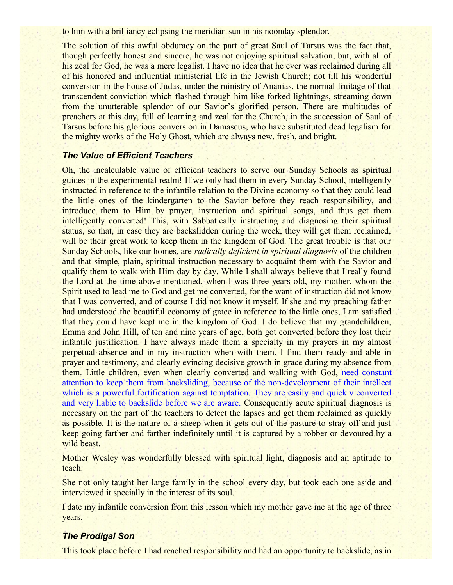to him with a brilliancy eclipsing the meridian sun in his noonday splendor.

The solution of this awful obduracy on the part of great Saul of Tarsus was the fact that, though perfectly honest and sincere, he was not enjoying spiritual salvation, but, with all of his zeal for God, he was a mere legalist. I have no idea that he ever was reclaimed during all of his honored and influential ministerial life in the Jewish Church; not till his wonderful conversion in the house of Judas, under the ministry of Ananias, the normal fruitage of that transcendent conviction which flashed through him like forked lightnings, streaming down from the unutterable splendor of our Savior's glorified person. There are multitudes of preachers at this day, full of learning and zeal for the Church, in the succession of Saul of Tarsus before his glorious conversion in Damascus, who have substituted dead legalism for the mighty works of the Holy Ghost, which are always new, fresh, and bright.

#### *The Value of Efficient Teachers*

Oh, the incalculable value of efficient teachers to serve our Sunday Schools as spiritual guides in the experimental realm! If we only had them in every Sunday School, intelligently instructed in reference to the infantile relation to the Divine economy so that they could lead the little ones of the kindergarten to the Savior before they reach responsibility, and introduce them to Him by prayer, instruction and spiritual songs, and thus get them intelligently converted! This, with Sabbatically instructing and diagnosing their spiritual status, so that, in case they are backslidden during the week, they will get them reclaimed, will be their great work to keep them in the kingdom of God. The great trouble is that our Sunday Schools, like our homes, are *radically deficient in spiritual diagnosis* of the children and that simple, plain, spiritual instruction necessary to acquaint them with the Savior and qualify them to walk with Him day by day. While I shall always believe that I really found the Lord at the time above mentioned, when I was three years old, my mother, whom the Spirit used to lead me to God and get me converted, for the want of instruction did not know that I was converted, and of course I did not know it myself. If she and my preaching father had understood the beautiful economy of grace in reference to the little ones, I am satisfied that they could have kept me in the kingdom of God. I do believe that my grandchildren, Emma and John Hill, of ten and nine years of age, both got converted before they lost their infantile justification. I have always made them a specialty in my prayers in my almost perpetual absence and in my instruction when with them. I find them ready and able in prayer and testimony, and clearly evincing decisive growth in grace during my absence from them. Little children, even when clearly converted and walking with God, need constant attention to keep them from backsliding, because of the non-development of their intellect which is a powerful fortification against temptation. They are easily and quickly converted and very liable to backslide before we are aware. Consequently acute spiritual diagnosis is necessary on the part of the teachers to detect the lapses and get them reclaimed as quickly as possible. It is the nature of a sheep when it gets out of the pasture to stray off and just keep going farther and farther indefinitely until it is captured by a robber or devoured by a wild beast.

Mother Wesley was wonderfully blessed with spiritual light, diagnosis and an aptitude to teach.

She not only taught her large family in the school every day, but took each one aside and interviewed it specially in the interest of its soul.

I date my infantile conversion from this lesson which my mother gave me at the age of three years.

#### *The Prodigal Son*

This took place before I had reached responsibility and had an opportunity to backslide, as in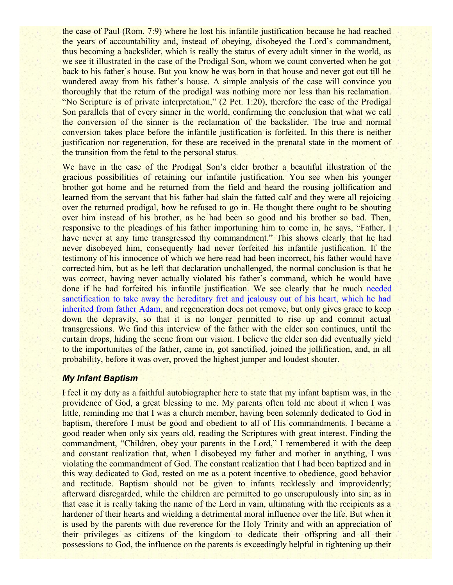the case of Paul (Rom. 7:9) where he lost his infantile justification because he had reached the years of accountability and, instead of obeying, disobeyed the Lord's commandment, thus becoming a backslider, which is really the status of every adult sinner in the world, as we see it illustrated in the case of the Prodigal Son, whom we count converted when he got back to his father's house. But you know he was born in that house and never got out till he wandered away from his father's house. A simple analysis of the case will convince you thoroughly that the return of the prodigal was nothing more nor less than his reclamation. "No Scripture is of private interpretation," (2 Pet. 1:20), therefore the case of the Prodigal Son parallels that of every sinner in the world, confirming the conclusion that what we call the conversion of the sinner is the reclamation of the backslider. The true and normal conversion takes place before the infantile justification is forfeited. In this there is neither justification nor regeneration, for these are received in the prenatal state in the moment of the transition from the fetal to the personal status.

We have in the case of the Prodigal Son's elder brother a beautiful illustration of the gracious possibilities of retaining our infantile justification. You see when his younger brother got home and he returned from the field and heard the rousing jollification and learned from the servant that his father had slain the fatted calf and they were all rejoicing over the returned prodigal, how he refused to go in. He thought there ought to be shouting over him instead of his brother, as he had been so good and his brother so bad. Then, responsive to the pleadings of his father importuning him to come in, he says, "Father, I have never at any time transgressed thy commandment." This shows clearly that he had never disobeyed him, consequently had never forfeited his infantile justification. If the testimony of his innocence of which we here read had been incorrect, his father would have corrected him, but as he left that declaration unchallenged, the normal conclusion is that he was correct, having never actually violated his father's command, which he would have done if he had forfeited his infantile justification. We see clearly that he much needed sanctification to take away the hereditary fret and jealousy out of his heart, which he had inherited from father Adam, and regeneration does not remove, but only gives grace to keep down the depravity, so that it is no longer permitted to rise up and commit actual transgressions. We find this interview of the father with the elder son continues, until the curtain drops, hiding the scene from our vision. I believe the elder son did eventually yield to the importunities of the father, came in, got sanctified, joined the jollification, and, in all probability, before it was over, proved the highest jumper and loudest shouter.

#### *My Infant Baptism*

I feel it my duty as a faithful autobiographer here to state that my infant baptism was, in the providence of God, a great blessing to me. My parents often told me about it when I was little, reminding me that I was a church member, having been solemnly dedicated to God in baptism, therefore I must be good and obedient to all of His commandments. I became a good reader when only six years old, reading the Scriptures with great interest. Finding the commandment, "Children, obey your parents in the Lord," I remembered it with the deep and constant realization that, when I disobeyed my father and mother in anything, I was violating the commandment of God. The constant realization that I had been baptized and in this way dedicated to God, rested on me as a potent incentive to obedience, good behavior and rectitude. Baptism should not be given to infants recklessly and improvidently; afterward disregarded, while the children are permitted to go unscrupulously into sin; as in that case it is really taking the name of the Lord in vain, ultimating with the recipients as a hardener of their hearts and wielding a detrimental moral influence over the life. But when it is used by the parents with due reverence for the Holy Trinity and with an appreciation of their privileges as citizens of the kingdom to dedicate their offspring and all their possessions to God, the influence on the parents is exceedingly helpful in tightening up their